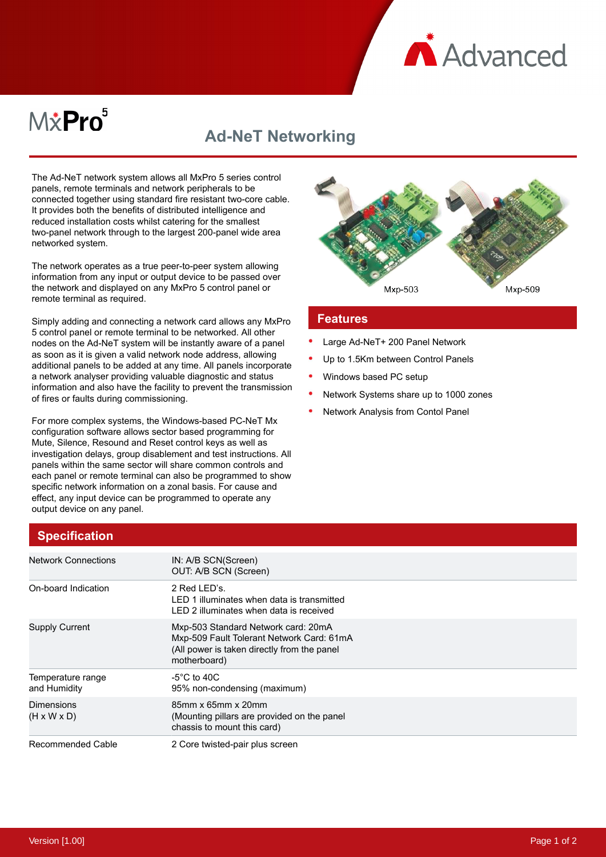

# $M\ddot{x}$ Pro $^5$

## **Ad-NeT Networking**

The Ad-NeT network system allows all MxPro 5 series control panels, remote terminals and network peripherals to be connected together using standard fire resistant two-core cable. It provides both the benefits of distributed intelligence and reduced installation costs whilst catering for the smallest two-panel network through to the largest 200-panel wide area networked system.

The network operates as a true peer-to-peer system allowing information from any input or output device to be passed over the network and displayed on any MxPro 5 control panel or remote terminal as required.

Simply adding and connecting a network card allows any MxPro 5 control panel or remote terminal to be networked. All other nodes on the Ad-NeT system will be instantly aware of a panel as soon as it is given a valid network node address, allowing additional panels to be added at any time. All panels incorporate a network analyser providing valuable diagnostic and status information and also have the facility to prevent the transmission of fires or faults during commissioning.

For more complex systems, the Windows-based PC-NeT Mx configuration software allows sector based programming for Mute, Silence, Resound and Reset control keys as well as investigation delays, group disablement and test instructions. All panels within the same sector will share common controls and each panel or remote terminal can also be programmed to show specific network information on a zonal basis. For cause and effect, any input device can be programmed to operate any output device on any panel.



#### **Features**

- Large Ad-NeT+ 200 Panel Network
- Up to 1.5Km between Control Panels
- Windows based PC setup
- Network Systems share up to 1000 zones
- Network Analysis from Contol Panel

## **Specification**

| <b>Network Connections</b>            | IN: A/B SCN(Screen)<br>OUT: A/B SCN (Screen)                                                                                                    |
|---------------------------------------|-------------------------------------------------------------------------------------------------------------------------------------------------|
| On-board Indication                   | 2 Red LED's.<br>LED 1 illuminates when data is transmitted<br>LED 2 illuminates when data is received                                           |
| <b>Supply Current</b>                 | Mxp-503 Standard Network card: 20mA<br>Mxp-509 Fault Tolerant Network Card: 61mA<br>(All power is taken directly from the panel<br>motherboard) |
| Temperature range<br>and Humidity     | -5 $\degree$ C to 40C<br>95% non-condensing (maximum)                                                                                           |
| Dimensions<br>$(H \times W \times D)$ | 85mm x 65mm x 20mm<br>(Mounting pillars are provided on the panel<br>chassis to mount this card)                                                |
| Recommended Cable                     | 2 Core twisted-pair plus screen                                                                                                                 |